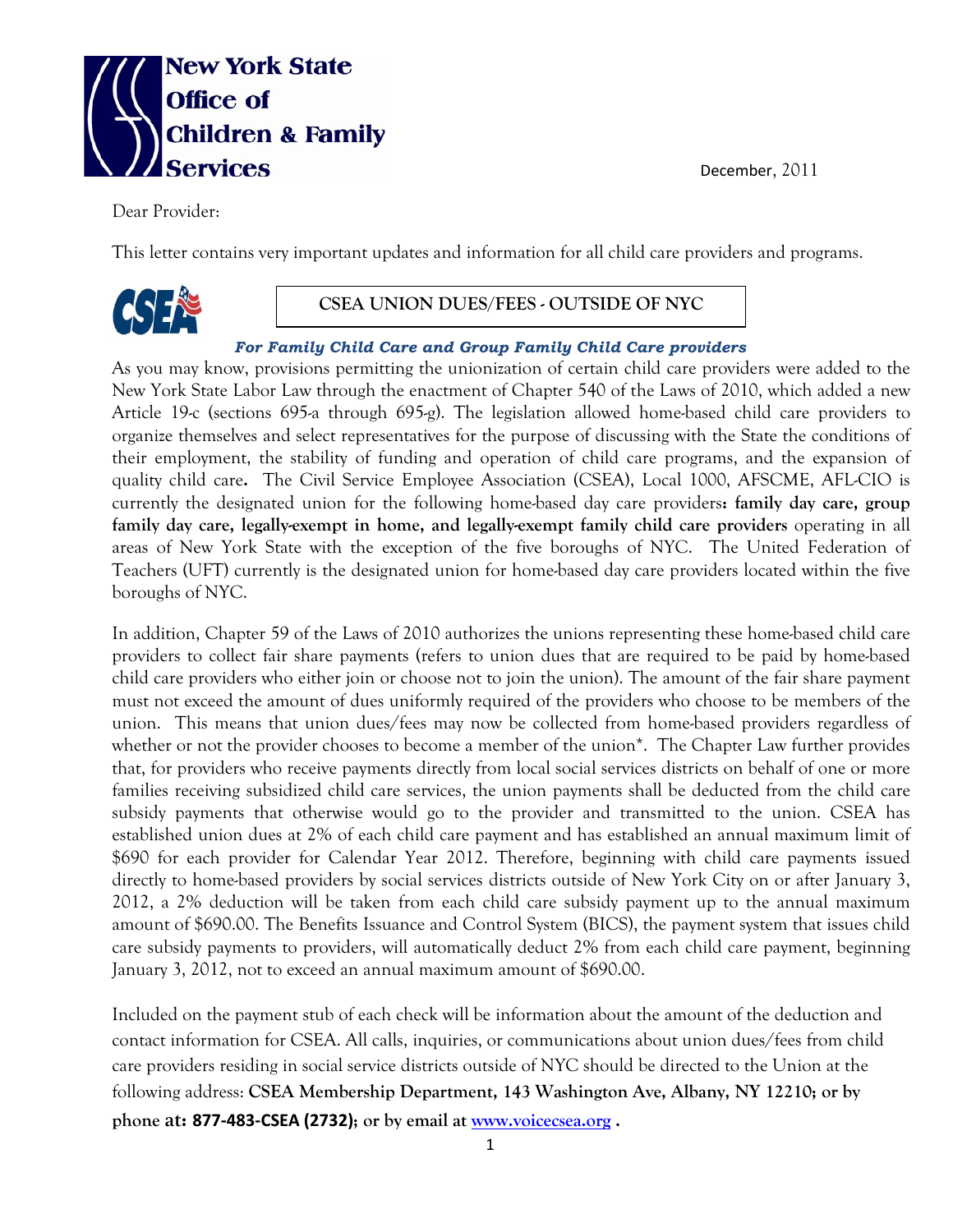



Dear Provider:

This letter contains very important updates and information for all child care providers and programs.



## **CSEA UNION DUES/FEES - OUTSIDE OF NYC**

## *For Family Child Care and Group Family Child Care providers*

As you may know, provisions permitting the unionization of certain child care providers were added to the New York State Labor Law through the enactment of Chapter 540 of the Laws of 2010, which added a new Article 19-c (sections 695-a through 695-g). The legislation allowed home-based child care providers to organize themselves and select representatives for the purpose of discussing with the State the conditions of their employment, the stability of funding and operation of child care programs, and the expansion of quality child care**.** The Civil Service Employee Association (CSEA), Local 1000, AFSCME, AFL-CIO is currently the designated union for the following home-based day care providers**: family day care, group family day care, legally-exempt in home, and legally-exempt family child care providers** operating in all areas of New York State with the exception of the five boroughs of NYC. The United Federation of Teachers (UFT) currently is the designated union for home-based day care providers located within the five boroughs of NYC.

In addition, Chapter 59 of the Laws of 2010 authorizes the unions representing these home-based child care providers to collect fair share payments (refers to union dues that are required to be paid by home-based child care providers who either join or choose not to join the union). The amount of the fair share payment must not exceed the amount of dues uniformly required of the providers who choose to be members of the union. This means that union dues/fees may now be collected from home-based providers regardless of whether or not the provider chooses to become a member of the union<sup>\*</sup>. The Chapter Law further provides that, for providers who receive payments directly from local social services districts on behalf of one or more families receiving subsidized child care services, the union payments shall be deducted from the child care subsidy payments that otherwise would go to the provider and transmitted to the union. CSEA has established union dues at 2% of each child care payment and has established an annual maximum limit of \$690 for each provider for Calendar Year 2012. Therefore, beginning with child care payments issued directly to home-based providers by social services districts outside of New York City on or after January 3, 2012, a 2% deduction will be taken from each child care subsidy payment up to the annual maximum amount of \$690.00. The Benefits Issuance and Control System (BICS), the payment system that issues child care subsidy payments to providers, will automatically deduct 2% from each child care payment, beginning January 3, 2012, not to exceed an annual maximum amount of \$690.00.

Included on the payment stub of each check will be information about the amount of the deduction and contact information for CSEA. All calls, inquiries, or communications about union dues/fees from child care providers residing in social service districts outside of NYC should be directed to the Union at the following address: **CSEA Membership Department, 143 Washington Ave, Albany, NY 12210; or by phone at: 877-483-CSEA (2732); or by email at [www.voicecsea.org](http://www.voicecsea.org/) .**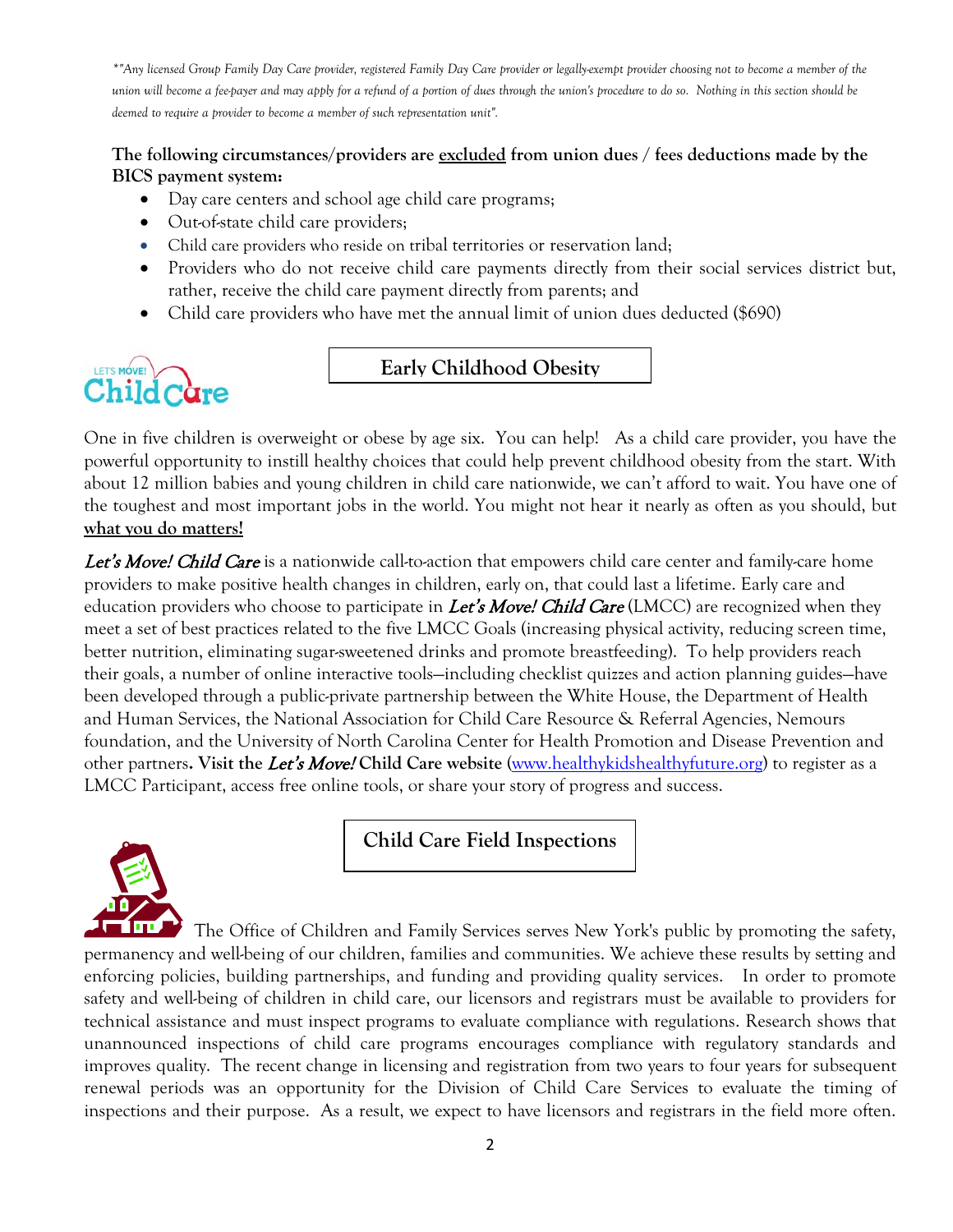*\*"Any licensed Group Family Day Care provider, registered Family Day Care provider or legally-exempt provider choosing not to become a member of the union will become a fee-payer and may apply for a refund of a portion of dues through the union's procedure to do so. Nothing in this section should be deemed to require a provider to become a member of such representation unit".*

## **The following circumstances/providers are excluded from union dues / fees deductions made by the BICS payment system:**

- Day care centers and school age child care programs;
- Out-of-state child care providers;
- Child care providers who reside on tribal territories or reservation land;
- Providers who do not receive child care payments directly from their social services district but, rather, receive the child care payment directly from parents; and
- Child care providers who have met the annual limit of union dues deducted (\$690)



**Early Childhood Obesity** 

One in five children is overweight or obese by age six. You can help! As a child care provider, you have the powerful opportunity to instill healthy choices that could help prevent childhood obesity from the start. With about 12 million babies and young children in child care nationwide, we can't afford to wait. You have one of the toughest and most important jobs in the world. You might not hear it nearly as often as you should, but **what you do matters!**

Let's Move! Child Care is a nationwide call-to-action that empowers child care center and family-care home providers to make positive health changes in children, early on, that could last a lifetime. Early care and education providers who choose to participate in Let's Move! Child Care (LMCC) are recognized when they meet a set of best practices related to the five LMCC Goals (increasing physical activity, reducing screen time, better nutrition, eliminating sugar-sweetened drinks and promote breastfeeding). To help providers reach their goals, a number of online interactive tools—including checklist quizzes and action planning guides—have been developed through a public-private partnership between the White House, the Department of Health and Human Services, the National Association for Child Care Resource & Referral Agencies, Nemours foundation, and the University of North Carolina Center for Health Promotion and Disease Prevention and other partners**. Visit the** Let's Move! **Child Care website** [\(www.healthykidshealthyfuture.org\)](http://www.healthykidshealthyfuture.org/) to register as a LMCC Participant, access free online tools, or share your story of progress and success.



**Child Care Field Inspections**

The Office of Children and Family Services serves New York's public by promoting the safety, permanency and well-being of our children, families and communities. We achieve these results by setting and enforcing policies, building partnerships, and funding and providing quality services. In order to promote safety and well-being of children in child care, our licensors and registrars must be available to providers for technical assistance and must inspect programs to evaluate compliance with regulations. Research shows that unannounced inspections of child care programs encourages compliance with regulatory standards and improves quality. The recent change in licensing and registration from two years to four years for subsequent renewal periods was an opportunity for the Division of Child Care Services to evaluate the timing of inspections and their purpose. As a result, we expect to have licensors and registrars in the field more often.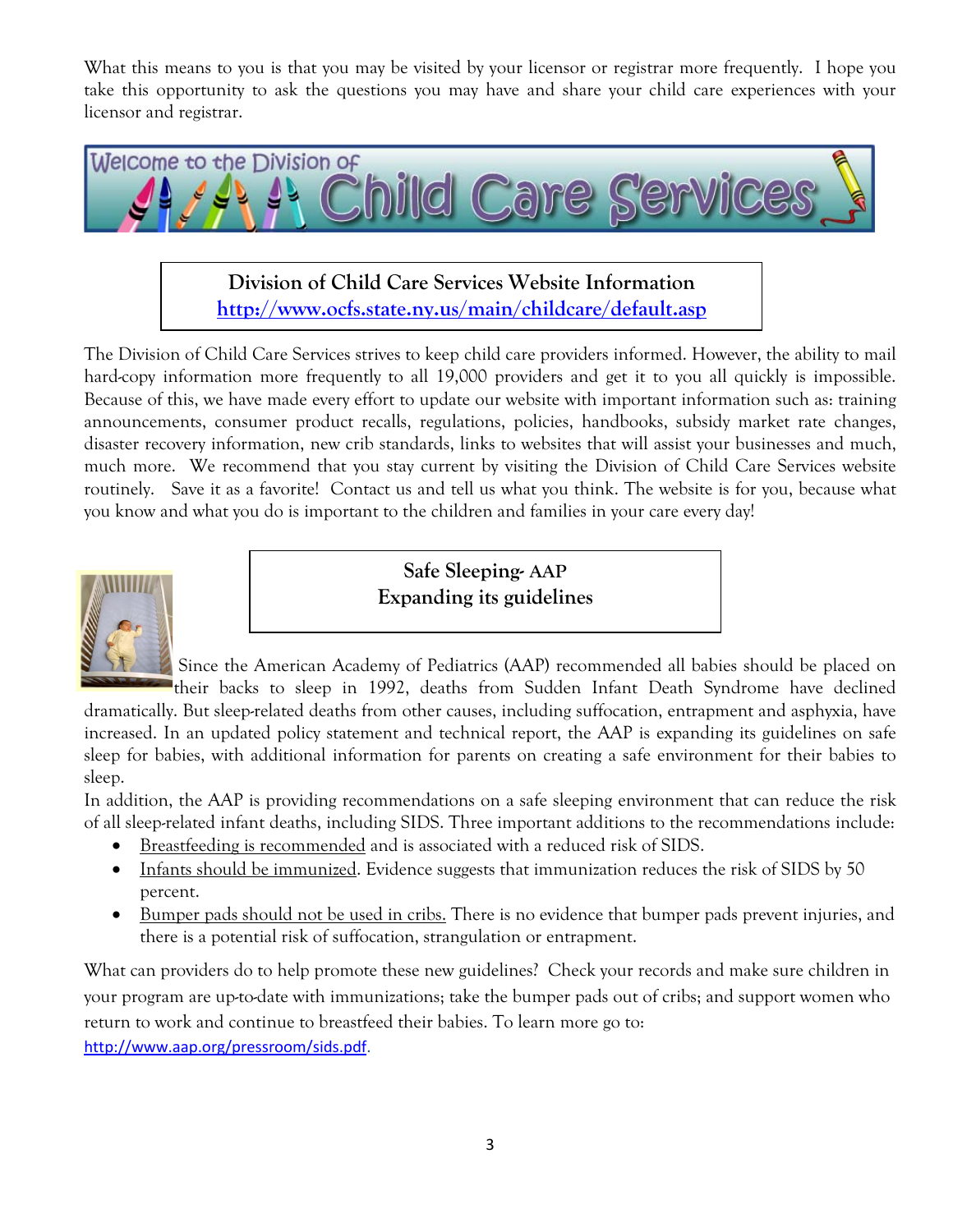What this means to you is that you may be visited by your licensor or registrar more frequently. I hope you take this opportunity to ask the questions you may have and share your child care experiences with your licensor and registrar.



**Division of Child Care Services Website Information <http://www.ocfs.state.ny.us/main/childcare/default.asp>**

The Division of Child Care Services strives to keep child care providers informed. However, the ability to mail hard-copy information more frequently to all 19,000 providers and get it to you all quickly is impossible. Because of this, we have made every effort to update our website with important information such as: training announcements, consumer product recalls, regulations, policies, handbooks, subsidy market rate changes, disaster recovery information, new crib standards, links to websites that will assist your businesses and much, much more. We recommend that you stay current by visiting the Division of Child Care Services website routinely. Save it as a favorite! Contact us and tell us what you think. The website is for you, because what you know and what you do is important to the children and families in your care every day!



**Safe Sleeping- AAP Expanding its guidelines**

Since the American Academy of Pediatrics (AAP) recommended all babies should be placed on their backs to sleep in 1992, deaths from Sudden Infant Death Syndrome have declined

dramatically. But sleep-related deaths from other causes, including suffocation, entrapment and asphyxia, have increased. In an updated policy statement and technical report, the AAP is expanding its guidelines on safe sleep for babies, with additional information for parents on creating a safe environment for their babies to sleep.

In addition, the AAP is providing recommendations on a safe sleeping environment that can reduce the risk of all sleep-related infant deaths, including SIDS. Three important additions to the recommendations include:

- Breastfeeding is recommended and is associated with a reduced risk of SIDS.
- Infants should be immunized. Evidence suggests that immunization reduces the risk of SIDS by 50 percent.
- Bumper pads should not be used in cribs. There is no evidence that bumper pads prevent injuries, and there is a potential risk of suffocation, strangulation or entrapment.

What can providers do to help promote these new guidelines? Check your records and make sure children in your program are up-to-date with immunizations; take the bumper pads out of cribs; and support women who return to work and continue to breastfeed their babies. To learn more go to:

[http://www.aap.org/pressroom/sids.pdf.](http://www.aap.org/pressroom/sids.pdf)